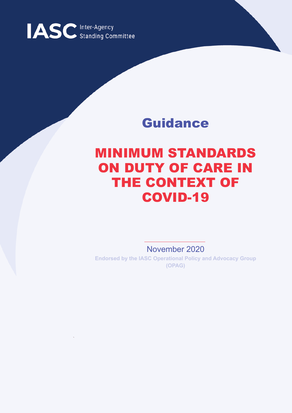

## Guidance

## MINIMUM STANDARDS ON DUTY OF CARE IN THE CONTEXT OF COVID-19

November 2020

**Endorsed by the IASC Operational Policy and Advocacy Group (OPAG)**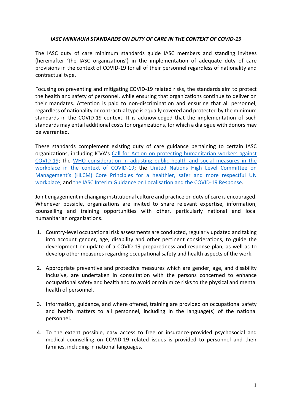## *IASC MINIMUM STANDARDS ON DUTY OF CARE IN THE CONTEXT OF COVID-19*

The IASC duty of care minimum standards guide IASC members and standing invitees (hereinafter 'the IASC organizations') in the implementation of adequate duty of care provisions in the context of COVID-19 for all of their personnel regardless of nationality and contractual type.

Focusing on preventing and mitigating COVID-19 related risks, the standards aim to protect the health and safety of personnel, while ensuring that organizations continue to deliver on their mandates. Attention is paid to non-discrimination and ensuring that all personnel, regardless of nationality or contractual type is equally covered and protected by the minimum standards in the COVID-19 context. It is acknowledged that the implementation of such standards may entail additional costs for organizations, for which a dialogue with donors may be warranted.

These standards complement existing duty of care guidance pertaining to certain IASC organizations, including ICVA's Call for Action on protecting humanitarian workers against COVID-19; the WHO consideration in adjusting public health and social measures in the workplace in the context of COVID-19; the United Nations High Level Committee on Management's (HLCM) Core Principles for a healthier, safer and more respectful UN workplace; and the IASC Interim Guidance on Localisation and the COVID-19 Response.

Joint engagement in changing institutional culture and practice on duty of care is encouraged. Whenever possible, organizations are invited to share relevant expertise, information, counselling and training opportunities with other, particularly national and local humanitarian organizations.

- 1. Country-level occupational risk assessments are conducted, regularly updated and taking into account gender, age, disability and other pertinent considerations, to guide the development or update of a COVID-19 preparedness and response plan, as well as to develop other measures regarding occupational safety and health aspects of the work.
- 2. Appropriate preventive and protective measures which are gender, age, and disability inclusive, are undertaken in consultation with the persons concerned to enhance occupational safety and health and to avoid or minimize risks to the physical and mental health of personnel.
- 3. Information, guidance, and where offered, training are provided on occupational safety and health matters to all personnel, including in the language(s) of the national personnel.
- 4. To the extent possible, easy access to free or insurance-provided psychosocial and medical counselling on COVID-19 related issues is provided to personnel and their families, including in national languages.